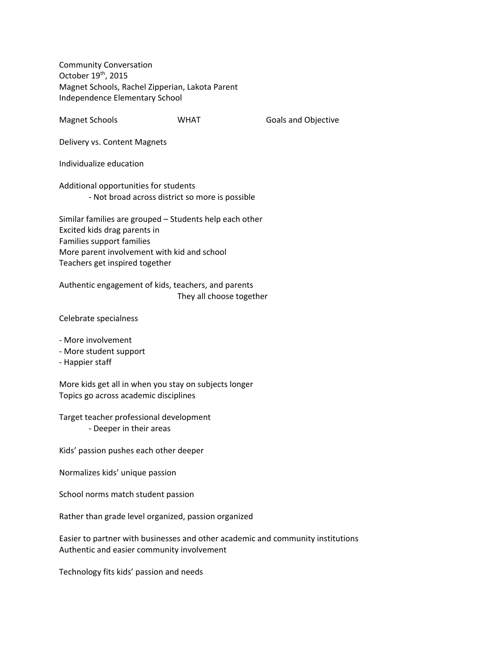Community Conversation October 19th, 2015 Magnet Schools, Rachel Zipperian, Lakota Parent Independence Elementary School

Magnet Schools **COMENT COMPANY Goals and Objective** 

Delivery vs. Content Magnets

Individualize education

Additional opportunities for students ‐ Not broad across district so more is possible

Similar families are grouped – Students help each other Excited kids drag parents in Families support families More parent involvement with kid and school Teachers get inspired together

Authentic engagement of kids, teachers, and parents They all choose together

Celebrate specialness

- ‐ More involvement
- ‐ More student support
- ‐ Happier staff

More kids get all in when you stay on subjects longer Topics go across academic disciplines

Target teacher professional development ‐ Deeper in their areas

Kids' passion pushes each other deeper

Normalizes kids' unique passion

School norms match student passion

Rather than grade level organized, passion organized

Easier to partner with businesses and other academic and community institutions Authentic and easier community involvement

Technology fits kids' passion and needs